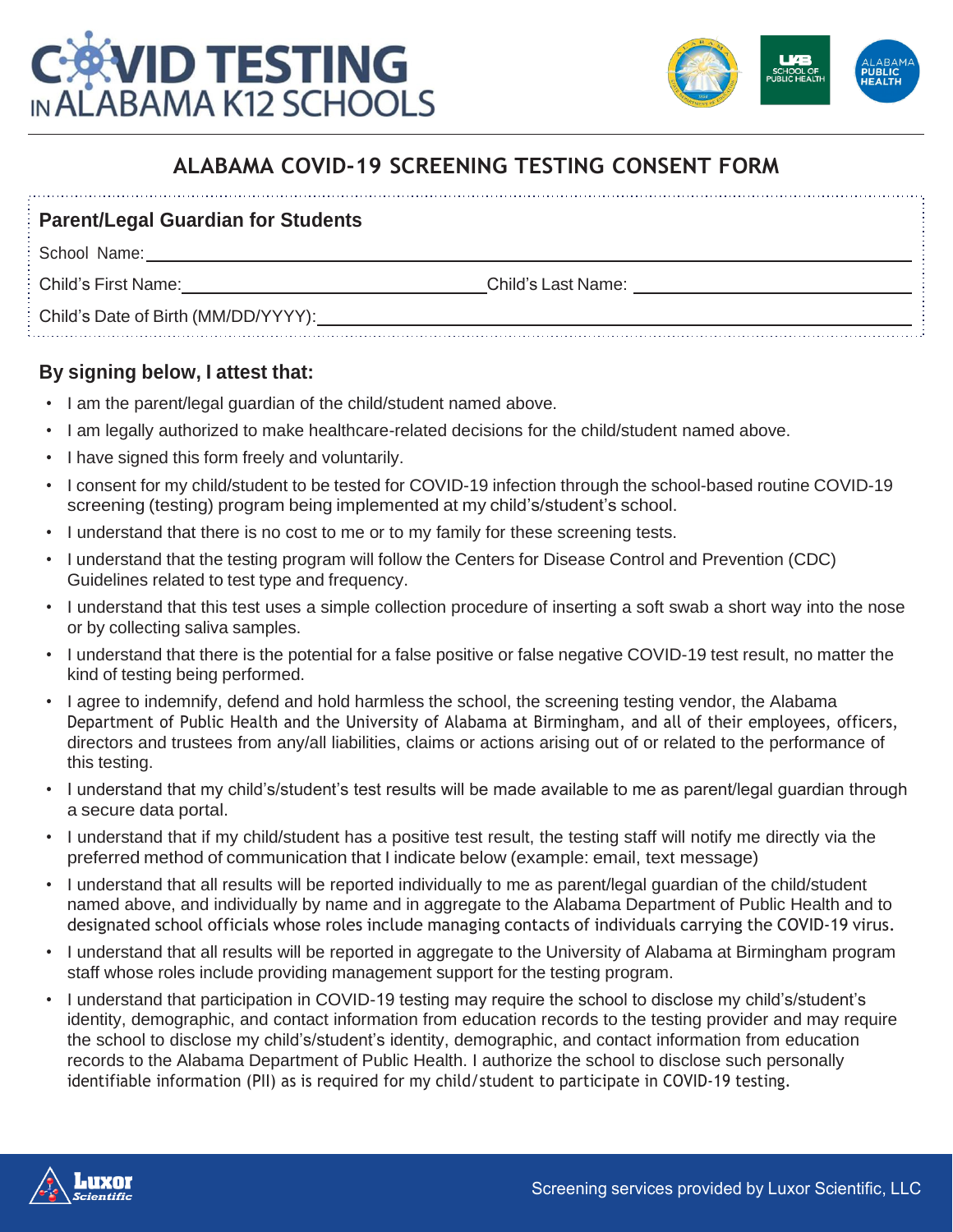



# **ALABAMA COVID-19 SCREENING TESTING CONSENT FORM**

### **Parent/Legal Guardian for Students**

School Name:

Child's First Name: Child's Last Name:

Child's Date of Birth (MM/DD/YYYY):

## **By signing below, I attest that:**

- I am the parent/legal guardian of the child/student named above.
- I am legally authorized to make healthcare-related decisions for the child/student named above.
- I have signed this form freely and voluntarily.
- I consent for my child/student to be tested for COVID-19 infection through the school-based routine COVID-19 screening (testing) program being implemented at my child's/student's school.
- I understand that there is no cost to me or to my family for these screening tests.
- I understand that the testing program will follow the Centers for Disease Control and Prevention (CDC) Guidelines related to test type and frequency.
- I understand that this test uses a simple collection procedure of inserting a soft swab a short way into the nose or by collecting saliva samples.
- I understand that there is the potential for a false positive or false negative COVID-19 test result, no matter the kind of testing being performed.
- I agree to indemnify, defend and hold harmless the school, the screening testing vendor, the Alabama Department of Public Health and the University of Alabama at Birmingham, and all of their employees, officers, directors and trustees from any/all liabilities, claims or actions arising out of or related to the performance of this testing.
- I understand that my child's/student's test results will be made available to me as parent/legal guardian through a secure data portal.
- I understand that if my child/student has a positive test result, the testing staff will notify me directly via the preferred method of communication that I indicate below (example: email, text message)
- I understand that all results will be reported individually to me as parent/legal guardian of the child/student named above, and individually by name and in aggregate to the Alabama Department of Public Health and to designated school officials whose roles include managing contacts of individuals carrying the COVID-19 virus.
- I understand that all results will be reported in aggregate to the University of Alabama at Birmingham program staff whose roles include providing management support for the testing program.
- I understand that participation in COVID-19 testing may require the school to disclose my child's/student's identity, demographic, and contact information from education records to the testing provider and may require the school to disclose my child's/student's identity, demographic, and contact information from education records to the Alabama Department of Public Health. I authorize the school to disclose such personally identifiable information (PII) as is required for my child/student to participate in COVID-19 testing.